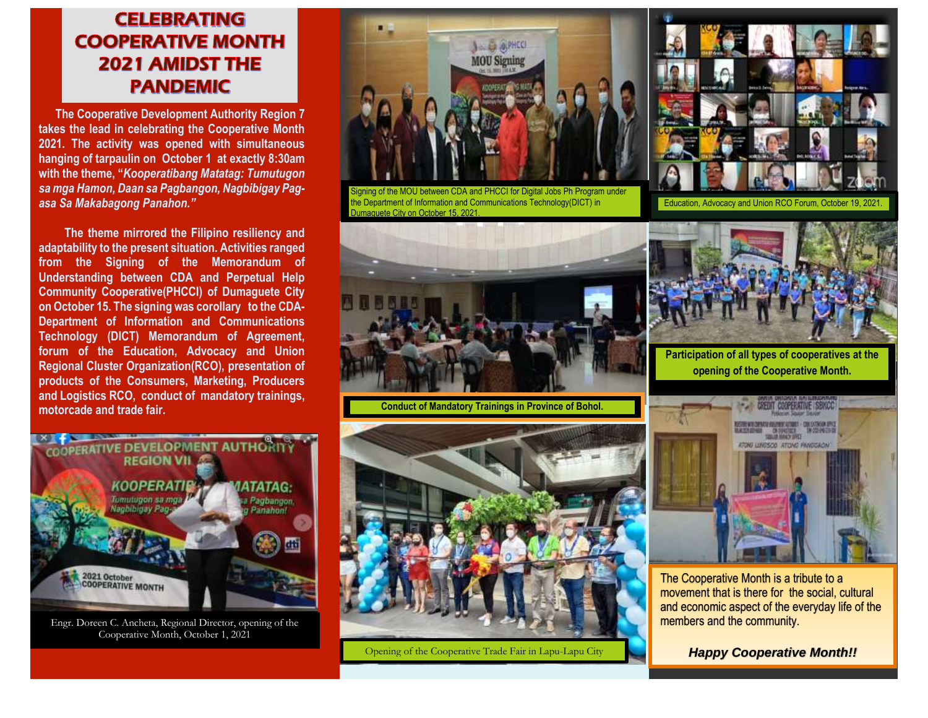## **CELEBRATING COOPERATIVE MONTH 2021 AMIDST THE PANDEMIC**

 **The Cooperative Development Authority Region 7 takes the lead in celebrating the Cooperative Month 2021. The activity was opened with simultaneous hanging of tarpaulin on October 1 at exactly 8:30am with the theme, "***Kooperatibang Matatag: Tumutugon sa mga Hamon, Daan sa Pagbangon, Nagbibigay Pagasa Sa Makabagong Panahon."*

The theme mirrored the Filipino resiliency and **adaptability to the present situation. Activities ranged from the Signing of the Memorandum of Understanding between CDA and Perpetual Help Community Cooperative(PHCCI) of Dumaguete City on October 15. The signing was corollary to the CDA-Department of Information and Communications Technology (DICT) Memorandum of Agreement, forum of the Education, Advocacy and Union Regional Cluster Organization(RCO), presentation of products of the Consumers, Marketing, Producers and Logistics RCO, conduct of mandatory trainings, motorcade and trade fair.**



Engr. Doreen C. Ancheta, Regional Director, opening of the Cooperative Month, October 1, 2021



igning of the MOU between CDA and PHCCI for Digital Jobs Ph Program under the Department of Information and Communications Technology(DICT) in umaquete City on October 15, 2021



Education, Advocacy and Union RCO Forum, October 19,



**Conduct of Mandatory Trainings in Province of Bohol.**



Opening of the Cooperative Trade Fair in Lapu-Lapu City



**Participation of all types of cooperatives at the opening of the Cooperative Month.**



The Cooperative Month is a tribute to a movement that is there for the social, cultural and economic aspect of the everyday life of the members and the community.

*Happy Cooperative Month!!*